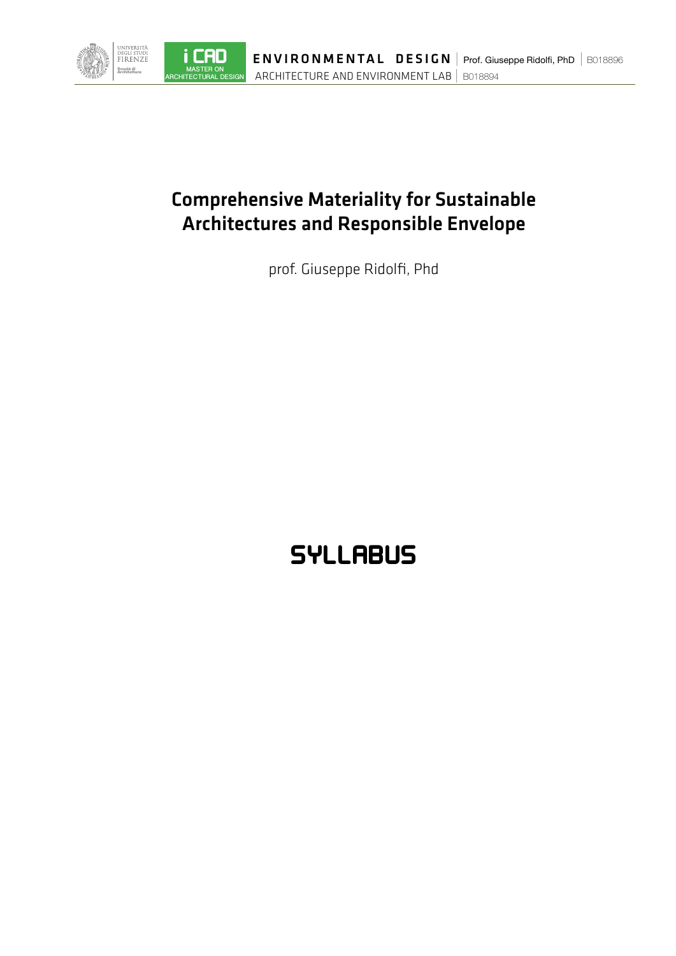

i CAD

## Comprehensive Materiality for Sustainable Architectures and Responsible Envelope

prof. Giuseppe Ridolfi, Phd

## **SYLLABUS**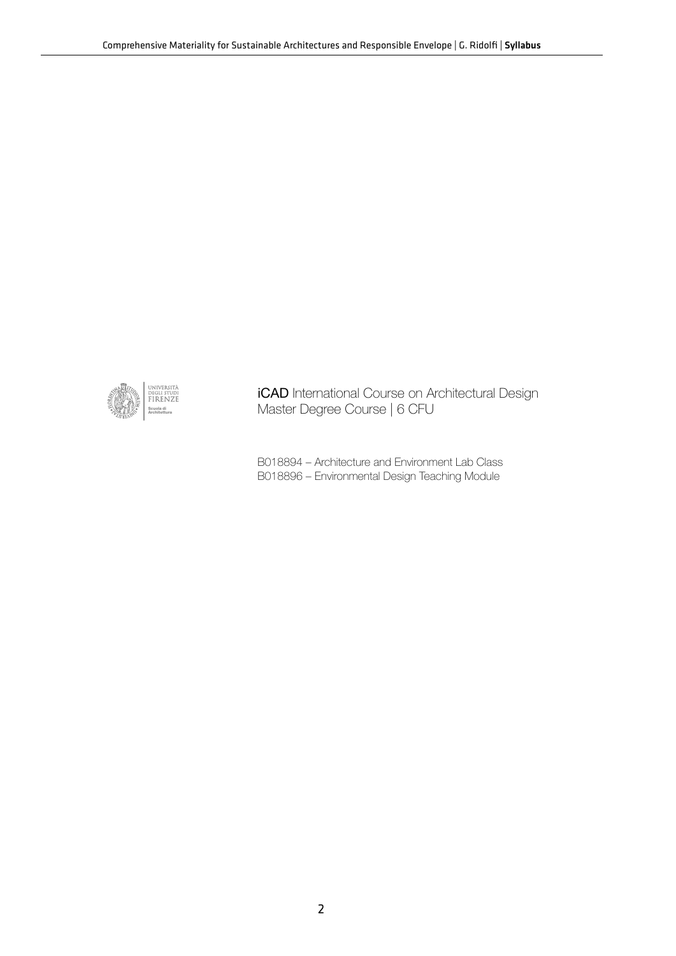

iCAD International Course on Architectural Design Master Degree Course | 6 CFU

B018894 – Architecture and Environment Lab Class B018896 – Environmental Design Teaching Module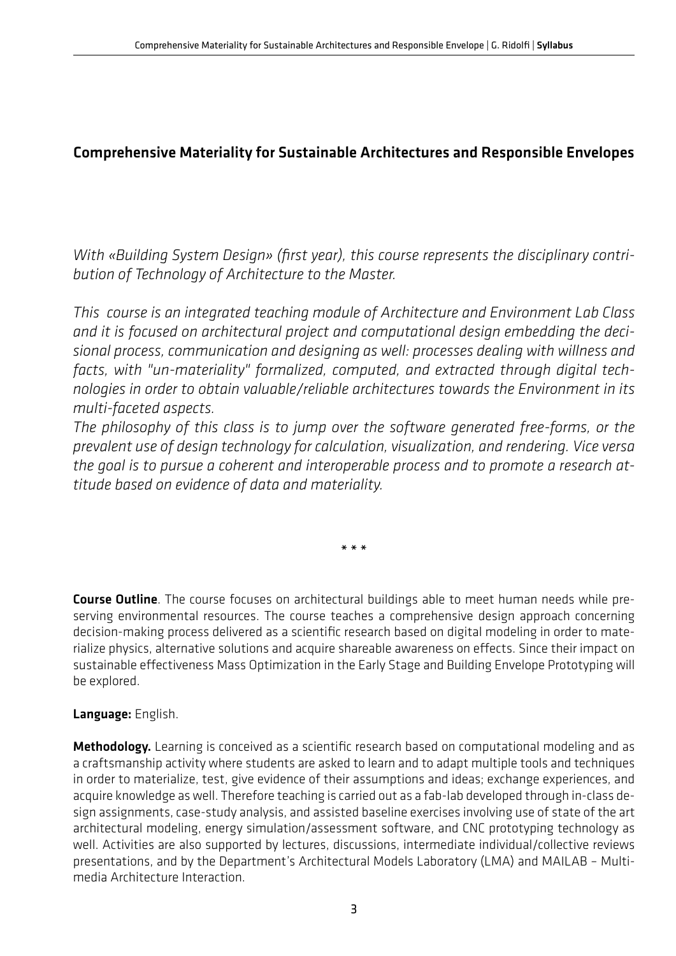## Comprehensive Materiality for Sustainable Architectures and Responsible Envelopes

*With «Building System Design» (first year), this course represents the disciplinary contribution of Technology of Architecture to the Master.* 

*This course is an integrated teaching module of Architecture and Environment Lab Class and it is focused on architectural project and computational design embedding the decisional process, communication and designing as well: processes dealing with willness and facts, with "un-materiality" formalized, computed, and extracted through digital technologies in order to obtain valuable/reliable architectures towards the Environment in its multi-faceted aspects.*

*The philosophy of this class is to jump over the software generated free-forms, or the prevalent use of design technology for calculation, visualization, and rendering. Vice versa the goal is to pursue a coherent and interoperable process and to promote a research attitude based on evidence of data and materiality.*

\* \* \*

Course Outline. The course focuses on architectural buildings able to meet human needs while preserving environmental resources. The course teaches a comprehensive design approach concerning decision-making process delivered as a scientific research based on digital modeling in order to materialize physics, alternative solutions and acquire shareable awareness on effects. Since their impact on sustainable effectiveness Mass Optimization in the Early Stage and Building Envelope Prototyping will be explored.

## Language: English.

Methodology. Learning is conceived as a scientific research based on computational modeling and as a craftsmanship activity where students are asked to learn and to adapt multiple tools and techniques in order to materialize, test, give evidence of their assumptions and ideas; exchange experiences, and acquire knowledge as well. Therefore teaching is carried out as a fab-lab developed through in-class design assignments, case-study analysis, and assisted baseline exercises involving use of state of the art architectural modeling, energy simulation/assessment software, and CNC prototyping technology as well. Activities are also supported by lectures, discussions, intermediate individual/collective reviews presentations, and by the Department's Architectural Models Laboratory (LMA) and MAILAB – Multimedia Architecture Interaction.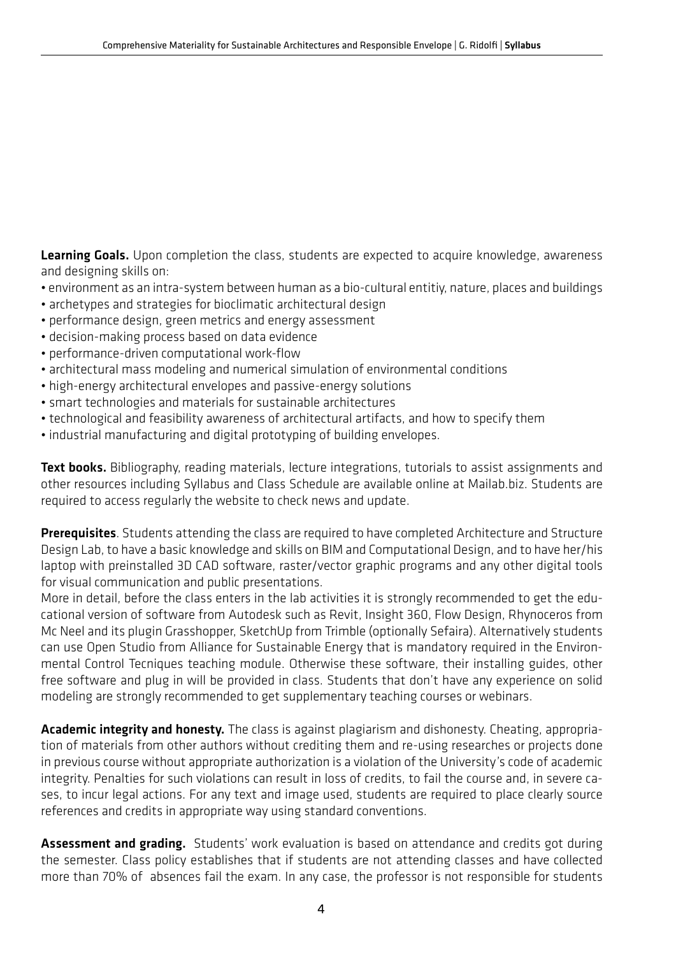Learning Goals. Upon completion the class, students are expected to acquire knowledge, awareness and designing skills on:

- environment as an intra-system between human as a bio-cultural entitiy, nature, places and buildings
- archetypes and strategies for bioclimatic architectural design
- performance design, green metrics and energy assessment
- decision-making process based on data evidence
- performance-driven computational work-flow
- architectural mass modeling and numerical simulation of environmental conditions
- high-energy architectural envelopes and passive-energy solutions
- smart technologies and materials for sustainable architectures
- technological and feasibility awareness of architectural artifacts, and how to specify them
- industrial manufacturing and digital prototyping of building envelopes.

Text books. Bibliography, reading materials, lecture integrations, tutorials to assist assignments and other resources including Syllabus and Class Schedule are available online at Mailab.biz. Students are required to access regularly the website to check news and update.

Prerequisites. Students attending the class are required to have completed Architecture and Structure Design Lab, to have a basic knowledge and skills on BIM and Computational Design, and to have her/his laptop with preinstalled 3D CAD software, raster/vector graphic programs and any other digital tools for visual communication and public presentations.

More in detail, before the class enters in the lab activities it is strongly recommended to get the educational version of software from Autodesk such as Revit, Insight 360, Flow Design, Rhynoceros from Mc Neel and its plugin Grasshopper, SketchUp from Trimble (optionally Sefaira). Alternatively students can use Open Studio from Alliance for Sustainable Energy that is mandatory required in the Environmental Control Tecniques teaching module. Otherwise these software, their installing guides, other free software and plug in will be provided in class. Students that don't have any experience on solid modeling are strongly recommended to get supplementary teaching courses or webinars.

Academic integrity and honesty. The class is against plagiarism and dishonesty. Cheating, appropriation of materials from other authors without crediting them and re-using researches or projects done in previous course without appropriate authorization is a violation of the University's code of academic integrity. Penalties for such violations can result in loss of credits, to fail the course and, in severe cases, to incur legal actions. For any text and image used, students are required to place clearly source references and credits in appropriate way using standard conventions.

Assessment and grading. Students' work evaluation is based on attendance and credits got during the semester. Class policy establishes that if students are not attending classes and have collected more than 70% of absences fail the exam. In any case, the professor is not responsible for students